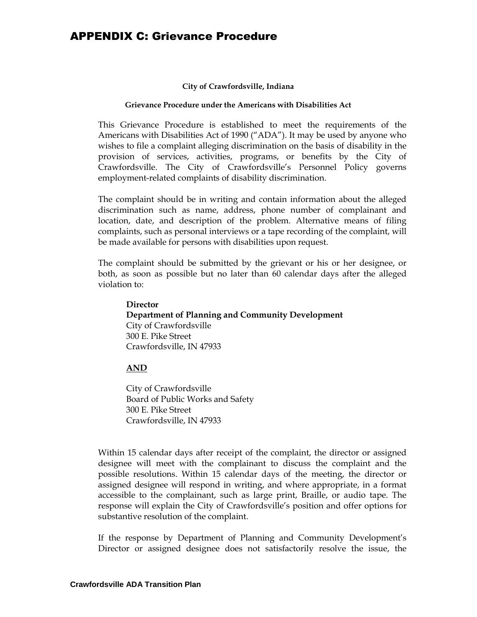## APPENDIX C: Grievance Procedure

#### **City of Crawfordsville, Indiana**

#### **Grievance Procedure under the Americans with Disabilities Act**

This Grievance Procedure is established to meet the requirements of the Americans with Disabilities Act of 1990 ("ADA"). It may be used by anyone who wishes to file a complaint alleging discrimination on the basis of disability in the provision of services, activities, programs, or benefits by the City of Crawfordsville. The City of Crawfordsville's Personnel Policy governs employment-related complaints of disability discrimination.

The complaint should be in writing and contain information about the alleged discrimination such as name, address, phone number of complainant and location, date, and description of the problem. Alternative means of filing complaints, such as personal interviews or a tape recording of the complaint, will be made available for persons with disabilities upon request.

The complaint should be submitted by the grievant or his or her designee, or both, as soon as possible but no later than 60 calendar days after the alleged violation to:

**Director Department of Planning and Community Development** City of Crawfordsville 300 E. Pike Street Crawfordsville, IN 47933

#### **AND**

City of Crawfordsville Board of Public Works and Safety 300 E. Pike Street Crawfordsville, IN 47933

Within 15 calendar days after receipt of the complaint, the director or assigned designee will meet with the complainant to discuss the complaint and the possible resolutions. Within 15 calendar days of the meeting, the director or assigned designee will respond in writing, and where appropriate, in a format accessible to the complainant, such as large print, Braille, or audio tape. The response will explain the City of Crawfordsville's position and offer options for substantive resolution of the complaint.

If the response by Department of Planning and Community Development's Director or assigned designee does not satisfactorily resolve the issue, the